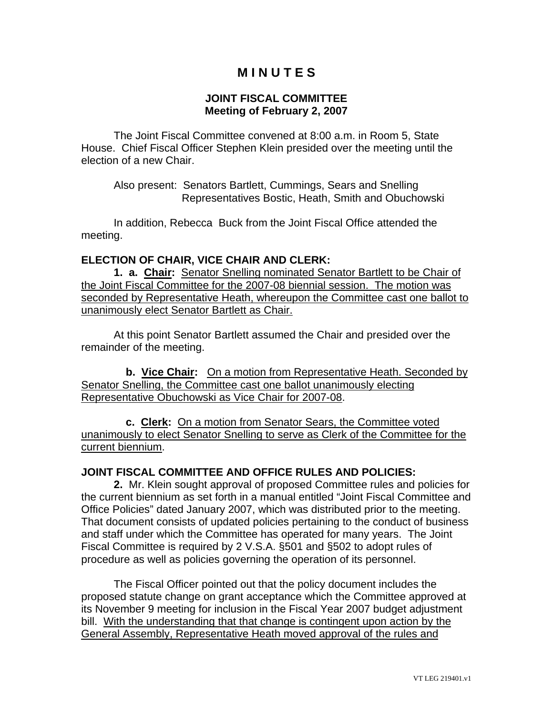# **M I N U T E S**

#### **JOINT FISCAL COMMITTEE Meeting of February 2, 2007**

The Joint Fiscal Committee convened at 8:00 a.m. in Room 5, State House. Chief Fiscal Officer Stephen Klein presided over the meeting until the election of a new Chair.

 Also present: Senators Bartlett, Cummings, Sears and Snelling Representatives Bostic, Heath, Smith and Obuchowski

 In addition, Rebecca Buck from the Joint Fiscal Office attended the meeting.

#### **ELECTION OF CHAIR, VICE CHAIR AND CLERK:**

 **1. a. Chair:** Senator Snelling nominated Senator Bartlett to be Chair of the Joint Fiscal Committee for the 2007-08 biennial session. The motion was seconded by Representative Heath, whereupon the Committee cast one ballot to unanimously elect Senator Bartlett as Chair.

 At this point Senator Bartlett assumed the Chair and presided over the remainder of the meeting.

 **b. Vice Chair:** On a motion from Representative Heath. Seconded by Senator Snelling, the Committee cast one ballot unanimously electing Representative Obuchowski as Vice Chair for 2007-08.

 **c. Clerk:** On a motion from Senator Sears, the Committee voted unanimously to elect Senator Snelling to serve as Clerk of the Committee for the current biennium.

## **JOINT FISCAL COMMITTEE AND OFFICE RULES AND POLICIES:**

 **2.** Mr. Klein sought approval of proposed Committee rules and policies for the current biennium as set forth in a manual entitled "Joint Fiscal Committee and Office Policies" dated January 2007, which was distributed prior to the meeting. That document consists of updated policies pertaining to the conduct of business and staff under which the Committee has operated for many years. The Joint Fiscal Committee is required by 2 V.S.A. §501 and §502 to adopt rules of procedure as well as policies governing the operation of its personnel.

 The Fiscal Officer pointed out that the policy document includes the proposed statute change on grant acceptance which the Committee approved at its November 9 meeting for inclusion in the Fiscal Year 2007 budget adjustment bill. With the understanding that that change is contingent upon action by the General Assembly, Representative Heath moved approval of the rules and